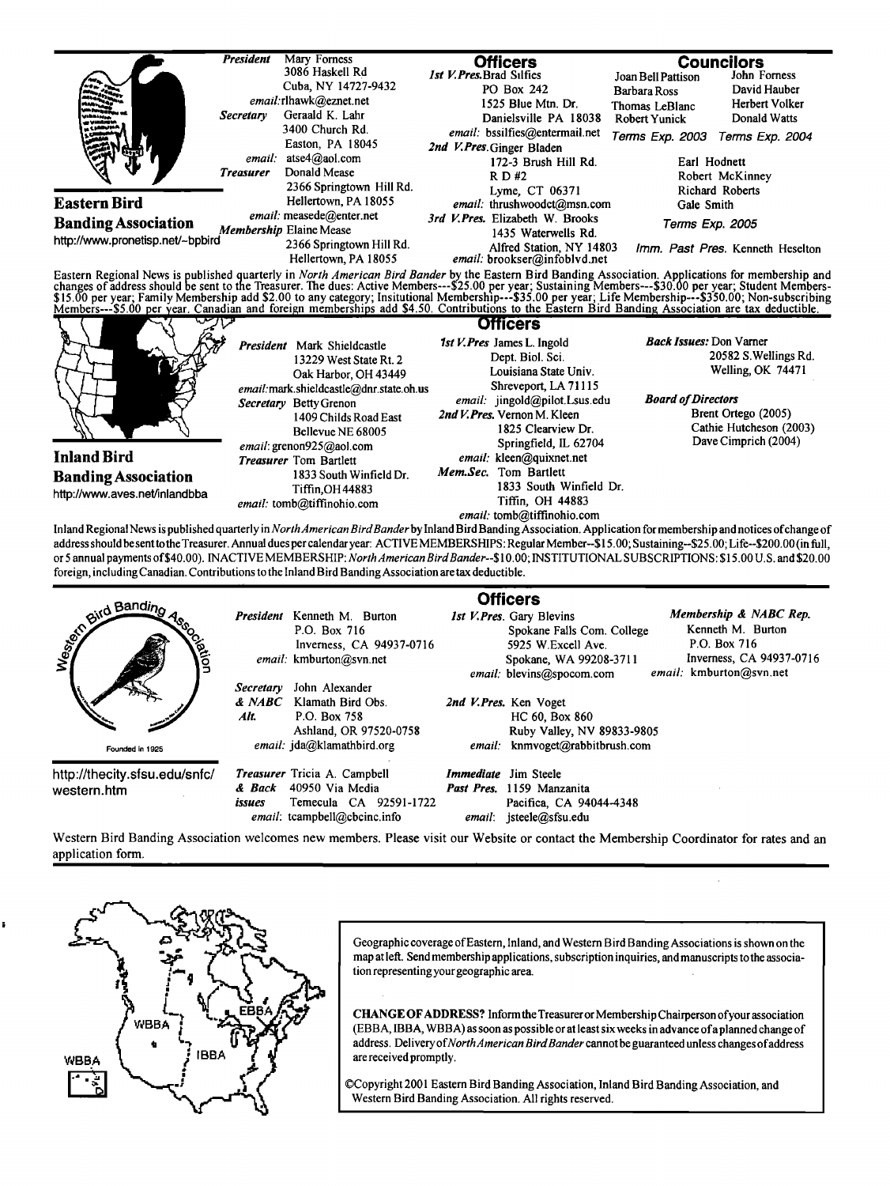

|                                              |                                                                                                                                                   | <b>Officers</b>                                                                                                                                                                                    |  |
|----------------------------------------------|---------------------------------------------------------------------------------------------------------------------------------------------------|----------------------------------------------------------------------------------------------------------------------------------------------------------------------------------------------------|--|
| and Bandino<br>cietion                       | Kenneth M. Burton<br><b>President</b><br>P.O. Box 716<br>Inverness, CA 94937-0716<br>email: kmburton@svn.net                                      | Membership & NABC Rep.<br>1st V. Pres. Gary Blevins<br>Kenneth M. Burton<br>Spokane Falls Com. College<br>P.O. Box 716<br>5925 W.Excell Ave.<br>Inverness, CA 94937-0716<br>Spokane, WA 99208-3711 |  |
| Founded in 1925                              | John Alexander<br><b>Secretary</b><br>& NABC<br>Klamath Bird Obs.<br>Alt.<br>P.O. Box 758<br>Ashland, OR 97520-0758<br>email: jda@klamathbird.org | email: kmburton@svn.net<br>email: blevins@spocom.com<br>2nd V.Pres. Ken Voget<br>HC 60, Box 860<br>Ruby Valley, NV 89833-9805<br>kmmvoget@rabbitbrush.com<br>email:                                |  |
| http://thecity.sfsu.edu/snfc/<br>western.htm | <b>Treasurer</b> Tricia A. Campbell<br>40950 Via Media<br>& Back<br>Temecula CA 92591-1722<br>issues<br>email: tcampbell@cbcinc.info              | <i>Immediate</i> Jim Steele<br><b>Past Pres.</b> 1159 Manzanita<br>Pacifica, CA 94044-4348<br>jsteele@sfsu.edu<br>email:                                                                           |  |

**Western Bird Banding Association welcomes new members. Please visit our Website or contact the Membership Coordinator for rates and an application form.** 



Geographic coverage of Eastern, Inland, and Western Bird Banding Associations is shown on the **map at left. Send membership aplications, subscription inquiries, andmanuscripts tothe associa**tion representing your geographic area.

**CHANGE OFADDRESS? Inform the Treasurer or Membership Chairperson ofyour association (EBBA, IBBA, WBBA) as soon as possible or at least six weeks in advance of a planned change of address. DeliveryofNorthAmericanBirdBandercannotbeguaranteedunless changesofaddress are received promptly.** 

**¸Copyright 2001 Eastem Bird Banding Association, Inland Bird Banding Association, and Western Bird Banding Association. All rights reserved.**